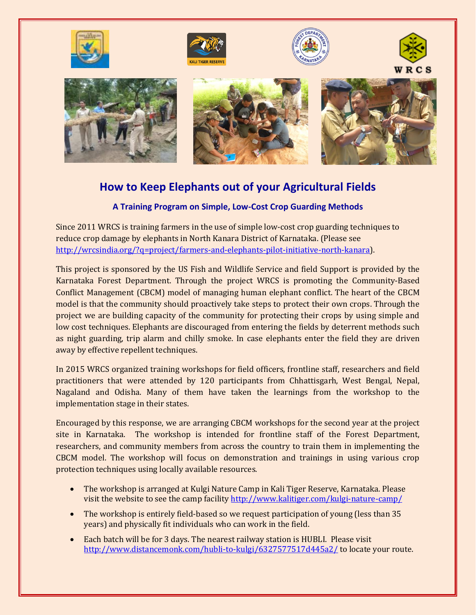

## **How to Keep Elephants out of your Agricultural Fields**

## **A Training Program on Simple, Low-Cost Crop Guarding Methods**

Since 2011 WRCS is training farmers in the use of simple low-cost crop guarding techniques to reduce crop damage by elephants in North Kanara District of Karnataka. (Please see [http://wrcsindia.org/?q=project/farmers-and-elephants-pilot-initiative-north-kanara\)](http://wrcsindia.org/?q=project/farmers-and-elephants-pilot-initiative-north-kanara).

This project is sponsored by the US Fish and Wildlife Service and field Support is provided by the Karnataka Forest Department. Through the project WRCS is promoting the Community-Based Conflict Management (CBCM) model of managing human elephant conflict. The heart of the CBCM model is that the community should proactively take steps to protect their own crops. Through the project we are building capacity of the community for protecting their crops by using simple and low cost techniques. Elephants are discouraged from entering the fields by deterrent methods such as night guarding, trip alarm and chilly smoke. In case elephants enter the field they are driven away by effective repellent techniques.

In 2015 WRCS organized training workshops for field officers, frontline staff, researchers and field practitioners that were attended by 120 participants from Chhattisgarh, West Bengal, Nepal, Nagaland and Odisha. Many of them have taken the learnings from the workshop to the implementation stage in their states.

Encouraged by this response, we are arranging CBCM workshops for the second year at the project site in Karnataka. The workshop is intended for frontline staff of the Forest Department, researchers, and community members from across the country to train them in implementing the CBCM model. The workshop will focus on demonstration and trainings in using various crop protection techniques using locally available resources.

- The workshop is arranged at Kulgi Nature Camp in Kali Tiger Reserve, Karnataka. Please visit the website to see the camp facility<http://www.kalitiger.com/kulgi-nature-camp/>
- The workshop is entirely field-based so we request participation of young (less than 35) years) and physically fit individuals who can work in the field.
- Each batch will be for 3 days. The nearest railway station is HUBLI. Please visit <http://www.distancemonk.com/hubli-to-kulgi/6327577517d445a2/> to locate your route.